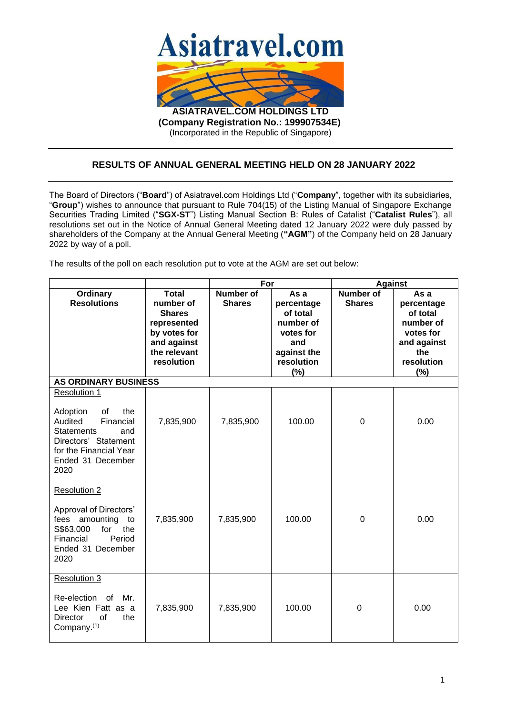

(Incorporated in the Republic of Singapore)

## **RESULTS OF ANNUAL GENERAL MEETING HELD ON 28 JANUARY 2022**

The Board of Directors ("**Board**") of Asiatravel.com Holdings Ltd ("**Company**", together with its subsidiaries, "**Group**") wishes to announce that pursuant to Rule 704(15) of the Listing Manual of Singapore Exchange Securities Trading Limited ("**SGX-ST**") Listing Manual Section B: Rules of Catalist ("**Catalist Rules**"), all resolutions set out in the Notice of Annual General Meeting dated 12 January 2022 were duly passed by shareholders of the Company at the Annual General Meeting (**"AGM"**) of the Company held on 28 January 2022 by way of a poll.

The results of the poll on each resolution put to vote at the AGM are set out below:

|                                                                                                                                                                          |                                                                                                                        | For                               |                                                                                                     | Against                    |                                                                                                     |
|--------------------------------------------------------------------------------------------------------------------------------------------------------------------------|------------------------------------------------------------------------------------------------------------------------|-----------------------------------|-----------------------------------------------------------------------------------------------------|----------------------------|-----------------------------------------------------------------------------------------------------|
| <b>Ordinary</b><br><b>Resolutions</b>                                                                                                                                    | <b>Total</b><br>number of<br><b>Shares</b><br>represented<br>by votes for<br>and against<br>the relevant<br>resolution | <b>Number of</b><br><b>Shares</b> | As a<br>percentage<br>of total<br>number of<br>votes for<br>and<br>against the<br>resolution<br>(%) | Number of<br><b>Shares</b> | As a<br>percentage<br>of total<br>number of<br>votes for<br>and against<br>the<br>resolution<br>(%) |
| <b>AS ORDINARY BUSINESS</b>                                                                                                                                              |                                                                                                                        |                                   |                                                                                                     |                            |                                                                                                     |
| Resolution 1<br>Adoption<br>the<br>0f<br>Financial<br>Audited<br><b>Statements</b><br>and<br>Directors' Statement<br>for the Financial Year<br>Ended 31 December<br>2020 | 7,835,900                                                                                                              | 7,835,900                         | 100.00                                                                                              | $\mathbf 0$                | 0.00                                                                                                |
| Resolution 2<br>Approval of Directors'<br>amounting<br>fees<br>to<br>S\$63,000<br>the<br>for<br>Financial<br>Period<br>Ended 31 December<br>2020                         | 7,835,900                                                                                                              | 7,835,900                         | 100.00                                                                                              | $\mathbf 0$                | 0.00                                                                                                |
| Resolution 3<br>Re-election of<br>Mr.<br>Lee Kien Fatt as a<br>of<br>the<br><b>Director</b><br>Company. <sup>(1)</sup>                                                   | 7,835,900                                                                                                              | 7,835,900                         | 100.00                                                                                              | 0                          | 0.00                                                                                                |